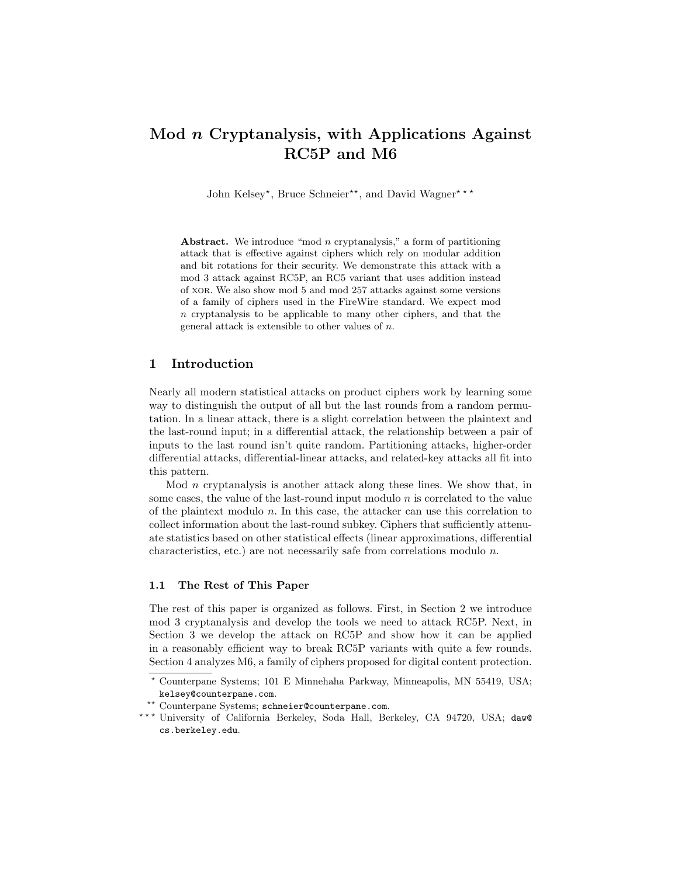# Mod n Cryptanalysis, with Applications Against RC5P and M6

John Kelsey\*, Bruce Schneier\*\*, and David Wagner\*\*\*

Abstract. We introduce "mod n cryptanalysis," a form of partitioning attack that is effective against ciphers which rely on modular addition and bit rotations for their security. We demonstrate this attack with a mod 3 attack against RC5P, an RC5 variant that uses addition instead of xor. We also show mod 5 and mod 257 attacks against some versions of a family of ciphers used in the FireWire standard. We expect mod n cryptanalysis to be applicable to many other ciphers, and that the general attack is extensible to other values of  $n$ .

## 1 Introduction

Nearly all modern statistical attacks on product ciphers work by learning some way to distinguish the output of all but the last rounds from a random permutation. In a linear attack, there is a slight correlation between the plaintext and the last-round input; in a differential attack, the relationship between a pair of inputs to the last round isn't quite random. Partitioning attacks, higher-order differential attacks, differential-linear attacks, and related-key attacks all fit into this pattern.

Mod  $n$  cryptanalysis is another attack along these lines. We show that, in some cases, the value of the last-round input modulo  $n$  is correlated to the value of the plaintext modulo  $n$ . In this case, the attacker can use this correlation to collect information about the last-round subkey. Ciphers that sufficiently attenuate statistics based on other statistical effects (linear approximations, differential characteristics, etc.) are not necessarily safe from correlations modulo  $n$ .

## 1.1 The Rest of This Paper

The rest of this paper is organized as follows. First, in Section 2 we introduce mod 3 cryptanalysis and develop the tools we need to attack RC5P. Next, in Section 3 we develop the attack on RC5P and show how it can be applied in a reasonably efficient way to break RC5P variants with quite a few rounds. Section 4 analyzes M6, a family of ciphers proposed for digital content protection.

<sup>?</sup> Counterpane Systems; 101 E Minnehaha Parkway, Minneapolis, MN 55419, USA; kelsey@counterpane.com.

<sup>\*\*</sup> Counterpane Systems; schneier@counterpane.com.

<sup>\*\*\*</sup> University of California Berkeley, Soda Hall, Berkeley, CA 94720, USA; daw@ cs.berkeley.edu.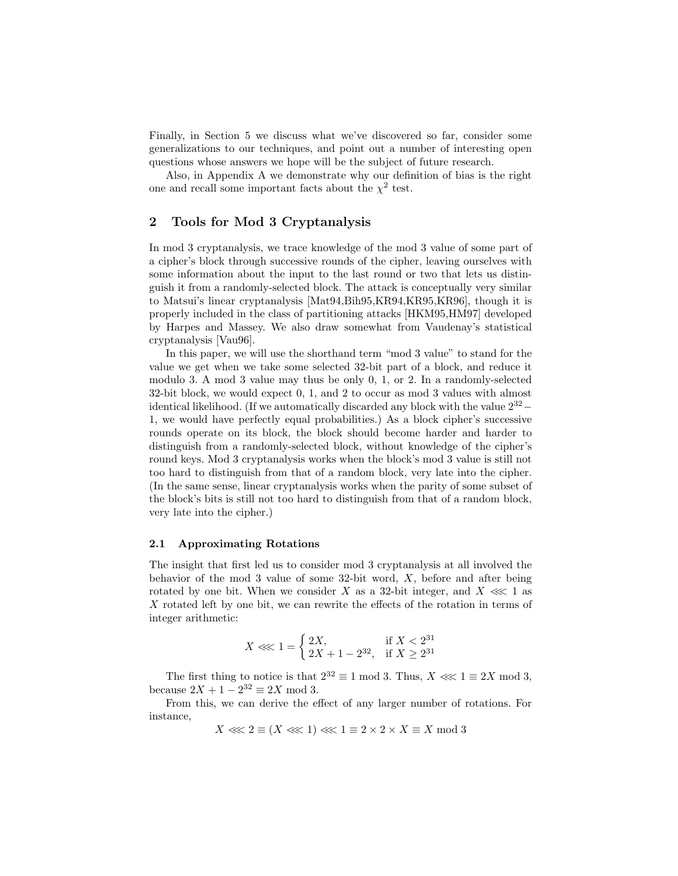Finally, in Section 5 we discuss what we've discovered so far, consider some generalizations to our techniques, and point out a number of interesting open questions whose answers we hope will be the subject of future research.

Also, in Appendix A we demonstrate why our definition of bias is the right one and recall some important facts about the  $\chi^2$  test.

## 2 Tools for Mod 3 Cryptanalysis

In mod 3 cryptanalysis, we trace knowledge of the mod 3 value of some part of a cipher's block through successive rounds of the cipher, leaving ourselves with some information about the input to the last round or two that lets us distinguish it from a randomly-selected block. The attack is conceptually very similar to Matsui's linear cryptanalysis [Mat94,Bih95,KR94,KR95,KR96], though it is properly included in the class of partitioning attacks [HKM95,HM97] developed by Harpes and Massey. We also draw somewhat from Vaudenay's statistical cryptanalysis [Vau96].

In this paper, we will use the shorthand term "mod 3 value" to stand for the value we get when we take some selected 32-bit part of a block, and reduce it modulo 3. A mod 3 value may thus be only 0, 1, or 2. In a randomly-selected 32-bit block, we would expect 0, 1, and 2 to occur as mod 3 values with almost identical likelihood. (If we automatically discarded any block with the value  $2^{32}$  – 1, we would have perfectly equal probabilities.) As a block cipher's successive rounds operate on its block, the block should become harder and harder to distinguish from a randomly-selected block, without knowledge of the cipher's round keys. Mod 3 cryptanalysis works when the block's mod 3 value is still not too hard to distinguish from that of a random block, very late into the cipher. (In the same sense, linear cryptanalysis works when the parity of some subset of the block's bits is still not too hard to distinguish from that of a random block, very late into the cipher.)

#### 2.1 Approximating Rotations

The insight that first led us to consider mod 3 cryptanalysis at all involved the behavior of the mod 3 value of some  $32$ -bit word, X, before and after being rotated by one bit. When we consider X as a 32-bit integer, and  $X \ll 1$  as X rotated left by one bit, we can rewrite the effects of the rotation in terms of integer arithmetic:

$$
X<\!\!<\!\!<1=\left\{\begin{aligned}&2X,&\text{if }X<2^{31}\\&2X+1-2^{32},&\text{if }X\ge2^{31}\end{aligned}\right.
$$

The first thing to notice is that  $2^{32} \equiv 1 \mod 3$ . Thus,  $X \ll 1 \equiv 2X \mod 3$ , because  $2X + 1 - 2^{32} \equiv 2X \mod 3$ .

From this, we can derive the effect of any larger number of rotations. For instance,

$$
X \ll 2 \equiv (X \ll 1) \ll 1 \equiv 2 \times 2 \times X \equiv X \mod 3
$$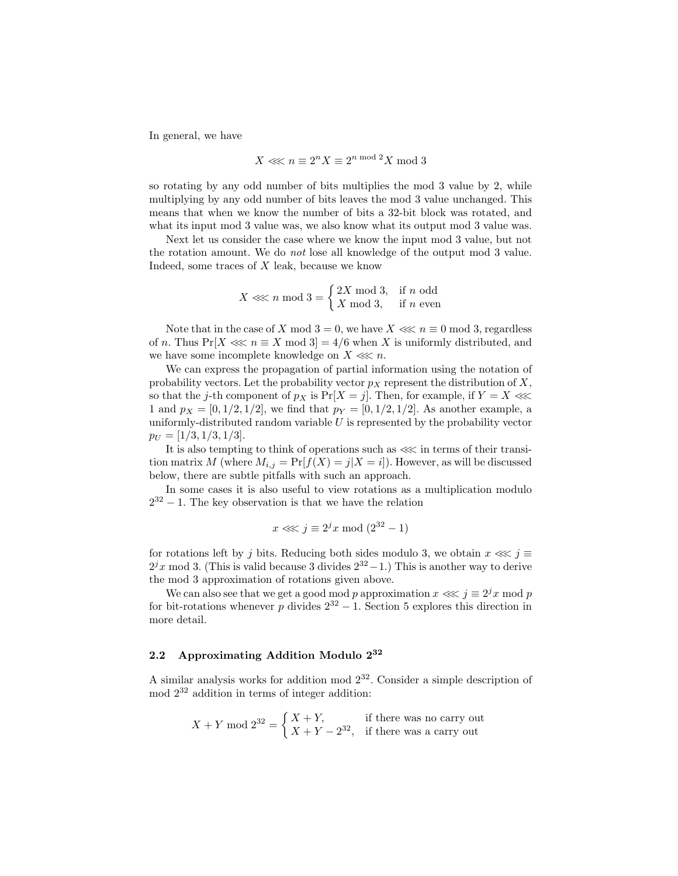In general, we have

$$
X \lll n \equiv 2^n X \equiv 2^{n \bmod 2} X \bmod 3
$$

so rotating by any odd number of bits multiplies the mod 3 value by 2, while multiplying by any odd number of bits leaves the mod 3 value unchanged. This means that when we know the number of bits a 32-bit block was rotated, and what its input mod 3 value was, we also know what its output mod 3 value was.

Next let us consider the case where we know the input mod 3 value, but not the rotation amount. We do not lose all knowledge of the output mod 3 value. Indeed, some traces of X leak, because we know

$$
X \lll n \mod 3 = \begin{cases} 2X \mod 3, & \text{if } n \text{ odd} \\ X \mod 3, & \text{if } n \text{ even} \end{cases}
$$

Note that in the case of X mod  $3 = 0$ , we have  $X \ll 1$  mod 3, regardless of n. Thus  $Pr[X \ll n \equiv X \mod 3] = 4/6$  when X is uniformly distributed, and we have some incomplete knowledge on  $X \lll n$ .

We can express the propagation of partial information using the notation of probability vectors. Let the probability vector  $p<sub>X</sub>$  represent the distribution of X, so that the j-th component of  $p_X$  is  $Pr[X = j]$ . Then, for example, if  $Y = X \ll \ll$ 1 and  $p_X = [0, 1/2, 1/2]$ , we find that  $p_Y = [0, 1/2, 1/2]$ . As another example, a uniformly-distributed random variable  $U$  is represented by the probability vector  $p_U = [1/3, 1/3, 1/3].$ 

It is also tempting to think of operations such as  $\ll\!\ll$  in terms of their transition matrix M (where  $M_{i,j} = \Pr[f(X) = j | X = i]$ ). However, as will be discussed below, there are subtle pitfalls with such an approach.

In some cases it is also useful to view rotations as a multiplication modulo  $2^{32} - 1$ . The key observation is that we have the relation

$$
x \lll j \equiv 2^{j}x \bmod (2^{32} - 1)
$$

for rotations left by j bits. Reducing both sides modulo 3, we obtain  $x \lll j \equiv$  $2^{j}x \mod 3$ . (This is valid because 3 divides  $2^{32}-1$ .) This is another way to derive the mod 3 approximation of rotations given above.

We can also see that we get a good mod p approximation  $x \lll j \equiv 2^{j}x \mod p$ for bit-rotations whenever p divides  $2^{32} - 1$ . Section 5 explores this direction in more detail.

## 2.2 Approximating Addition Modulo 2<sup>32</sup>

A similar analysis works for addition mod  $2^{32}$ . Consider a simple description of mod 2<sup>32</sup> addition in terms of integer addition:

$$
X + Y \mod 2^{32} = \begin{cases} X + Y, & \text{if there was no carry out} \\ X + Y - 2^{32}, & \text{if there was a carry out} \end{cases}
$$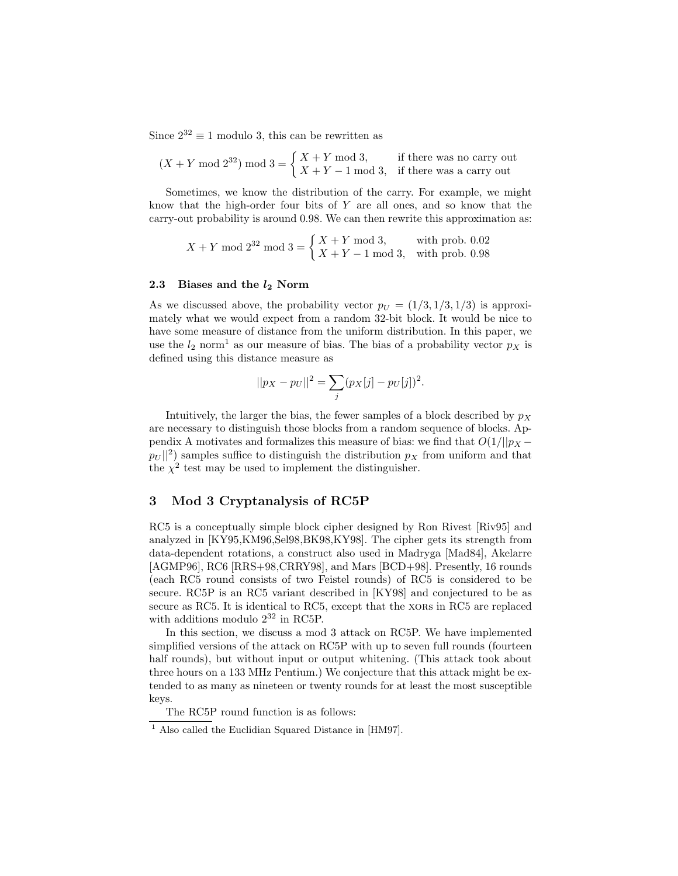Since  $2^{32} \equiv 1$  modulo 3, this can be rewritten as

$$
(X+Y \bmod 2^{32}) \bmod 3 = \begin{cases} X+Y \bmod 3, & \text{if there was no carry out} \\ X+Y-1 \bmod 3, & \text{if there was a carry out} \end{cases}
$$

Sometimes, we know the distribution of the carry. For example, we might know that the high-order four bits of  $Y$  are all ones, and so know that the carry-out probability is around 0.98. We can then rewrite this approximation as:

$$
X + Y \mod 2^{32} \mod 3 = \begin{cases} X + Y \mod 3, & \text{with prob. } 0.02 \\ X + Y - 1 \mod 3, & \text{with prob. } 0.98 \end{cases}
$$

#### 2.3 Biases and the  $l_2$  Norm

As we discussed above, the probability vector  $p_U = (1/3, 1/3, 1/3)$  is approximately what we would expect from a random 32-bit block. It would be nice to have some measure of distance from the uniform distribution. In this paper, we use the  $l_2$  norm<sup>1</sup> as our measure of bias. The bias of a probability vector  $p<sub>X</sub>$  is defined using this distance measure as

$$
||p_X - p_U||^2 = \sum_j (p_X[j] - p_U[j])^2.
$$

Intuitively, the larger the bias, the fewer samples of a block described by  $p<sub>X</sub>$ are necessary to distinguish those blocks from a random sequence of blocks. Appendix A motivates and formalizes this measure of bias: we find that  $O(1/||p_X - p_X||)$  $|p_U||^2$ ) samples suffice to distinguish the distribution  $p_X$  from uniform and that the  $\chi^2$  test may be used to implement the distinguisher.

## 3 Mod 3 Cryptanalysis of RC5P

RC5 is a conceptually simple block cipher designed by Ron Rivest [Riv95] and analyzed in [KY95,KM96,Sel98,BK98,KY98]. The cipher gets its strength from data-dependent rotations, a construct also used in Madryga [Mad84], Akelarre [AGMP96], RC6 [RRS+98,CRRY98], and Mars [BCD+98]. Presently, 16 rounds (each RC5 round consists of two Feistel rounds) of RC5 is considered to be secure. RC5P is an RC5 variant described in [KY98] and conjectured to be as secure as RC5. It is identical to RC5, except that the xores in RC5 are replaced with additions modulo  $2^{32}$  in RC5P.

In this section, we discuss a mod 3 attack on RC5P. We have implemented simplified versions of the attack on RC5P with up to seven full rounds (fourteen half rounds), but without input or output whitening. (This attack took about three hours on a 133 MHz Pentium.) We conjecture that this attack might be extended to as many as nineteen or twenty rounds for at least the most susceptible keys.

The RC5P round function is as follows:

 $\frac{1}{1}$  Also called the Euclidian Squared Distance in [HM97].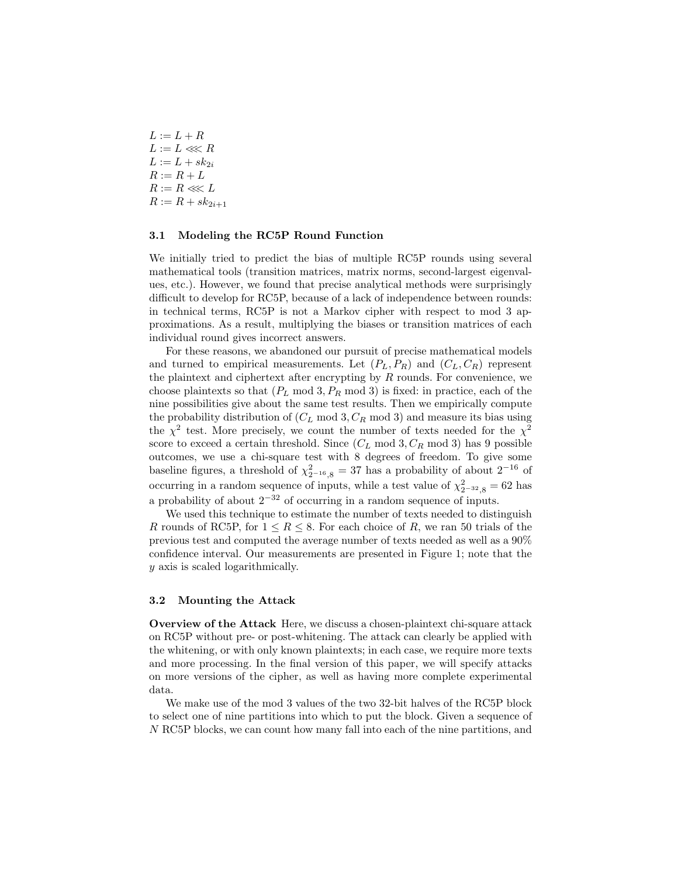$L := L + R$  $L := L \lll R$  $L := L + sk_{2i}$  $R := R + L$  $R := R \lll L$  $R := R + sk_{2i+1}$ 

#### 3.1 Modeling the RC5P Round Function

We initially tried to predict the bias of multiple RC5P rounds using several mathematical tools (transition matrices, matrix norms, second-largest eigenvalues, etc.). However, we found that precise analytical methods were surprisingly difficult to develop for RC5P, because of a lack of independence between rounds: in technical terms, RC5P is not a Markov cipher with respect to mod 3 approximations. As a result, multiplying the biases or transition matrices of each individual round gives incorrect answers.

For these reasons, we abandoned our pursuit of precise mathematical models and turned to empirical measurements. Let  $(P_L, P_R)$  and  $(C_L, C_R)$  represent the plaintext and ciphertext after encrypting by  $R$  rounds. For convenience, we choose plaintexts so that  $(P_L \text{ mod } 3, P_R \text{ mod } 3)$  is fixed: in practice, each of the nine possibilities give about the same test results. Then we empirically compute the probability distribution of  $(C_L \mod 3, C_R \mod 3)$  and measure its bias using the  $\chi^2$  test. More precisely, we count the number of texts needed for the  $\chi^2$ score to exceed a certain threshold. Since  $(C_L \mod 3, C_R \mod 3)$  has 9 possible outcomes, we use a chi-square test with 8 degrees of freedom. To give some baseline figures, a threshold of  $\chi^2_{2^{-16},8} = 37$  has a probability of about  $2^{-16}$  of occurring in a random sequence of inputs, while a test value of  $\chi^2_{2^{-32},8} = 62$  has a probability of about  $2^{-32}$  of occurring in a random sequence of inputs.

We used this technique to estimate the number of texts needed to distinguish R rounds of RC5P, for  $1 \leq R \leq 8$ . For each choice of R, we ran 50 trials of the previous test and computed the average number of texts needed as well as a 90% confidence interval. Our measurements are presented in Figure 1; note that the y axis is scaled logarithmically.

#### 3.2 Mounting the Attack

Overview of the Attack Here, we discuss a chosen-plaintext chi-square attack on RC5P without pre- or post-whitening. The attack can clearly be applied with the whitening, or with only known plaintexts; in each case, we require more texts and more processing. In the final version of this paper, we will specify attacks on more versions of the cipher, as well as having more complete experimental data.

We make use of the mod 3 values of the two 32-bit halves of the RC5P block to select one of nine partitions into which to put the block. Given a sequence of N RC5P blocks, we can count how many fall into each of the nine partitions, and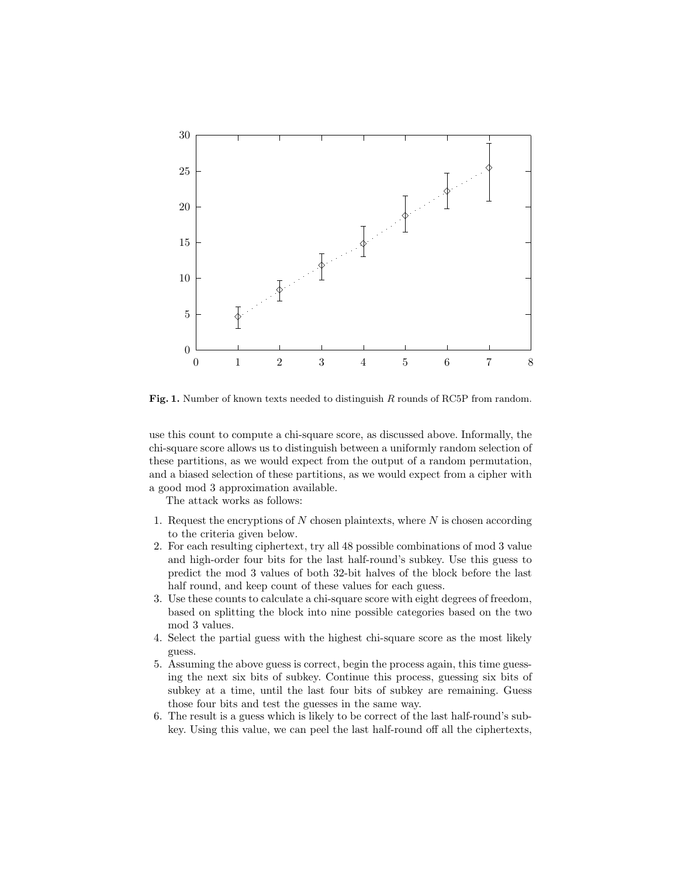

Fig. 1. Number of known texts needed to distinguish R rounds of RC5P from random.

use this count to compute a chi-square score, as discussed above. Informally, the chi-square score allows us to distinguish between a uniformly random selection of these partitions, as we would expect from the output of a random permutation, and a biased selection of these partitions, as we would expect from a cipher with a good mod 3 approximation available.

The attack works as follows:

- 1. Request the encryptions of  $N$  chosen plaintexts, where  $N$  is chosen according to the criteria given below.
- 2. For each resulting ciphertext, try all 48 possible combinations of mod 3 value and high-order four bits for the last half-round's subkey. Use this guess to predict the mod 3 values of both 32-bit halves of the block before the last half round, and keep count of these values for each guess.
- 3. Use these counts to calculate a chi-square score with eight degrees of freedom, based on splitting the block into nine possible categories based on the two mod 3 values.
- 4. Select the partial guess with the highest chi-square score as the most likely guess.
- 5. Assuming the above guess is correct, begin the process again, this time guessing the next six bits of subkey. Continue this process, guessing six bits of subkey at a time, until the last four bits of subkey are remaining. Guess those four bits and test the guesses in the same way.
- 6. The result is a guess which is likely to be correct of the last half-round's subkey. Using this value, we can peel the last half-round off all the ciphertexts,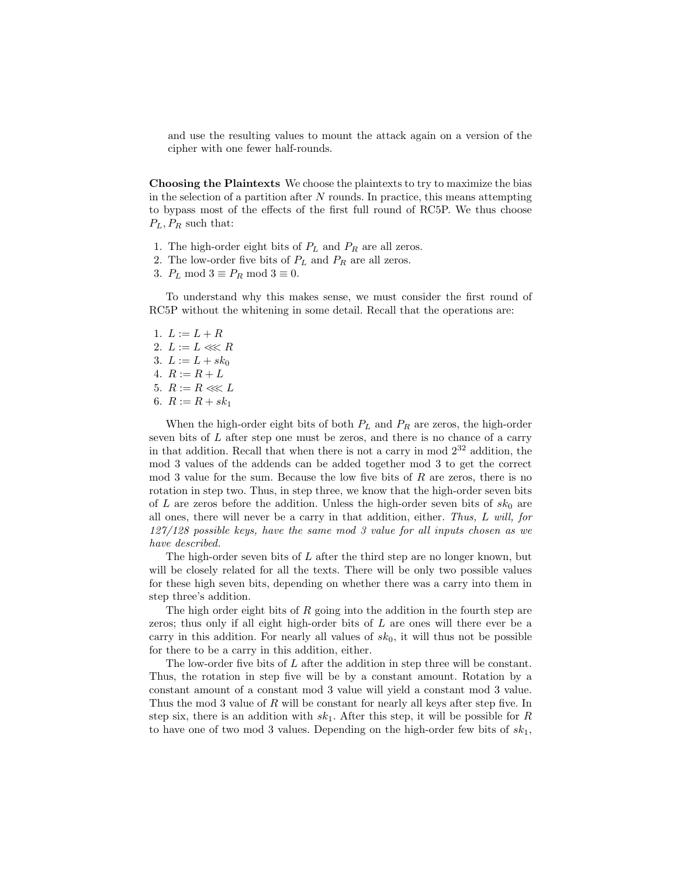and use the resulting values to mount the attack again on a version of the cipher with one fewer half-rounds.

Choosing the Plaintexts We choose the plaintexts to try to maximize the bias in the selection of a partition after  $N$  rounds. In practice, this means attempting to bypass most of the effects of the first full round of RC5P. We thus choose  $P_L$ ,  $P_R$  such that:

- 1. The high-order eight bits of  $P_L$  and  $P_R$  are all zeros.
- 2. The low-order five bits of  $P_L$  and  $P_R$  are all zeros.
- 3.  $P_L \mod 3 \equiv P_R \mod 3 \equiv 0.$

To understand why this makes sense, we must consider the first round of RC5P without the whitening in some detail. Recall that the operations are:

- 1.  $L := L + R$ 2.  $L := L \lll R$
- 3.  $L := L + sk_0$
- 4.  $R := R + L$
- 5.  $R := R \ll L$
- 6.  $R := R + sk_1$

When the high-order eight bits of both  $P_L$  and  $P_R$  are zeros, the high-order seven bits of L after step one must be zeros, and there is no chance of a carry in that addition. Recall that when there is not a carry in mod  $2^{32}$  addition, the mod 3 values of the addends can be added together mod 3 to get the correct mod 3 value for the sum. Because the low five bits of  $R$  are zeros, there is no rotation in step two. Thus, in step three, we know that the high-order seven bits of L are zeros before the addition. Unless the high-order seven bits of  $sk_0$  are all ones, there will never be a carry in that addition, either. Thus, L will, for 127/128 possible keys, have the same mod 3 value for all inputs chosen as we have described.

The high-order seven bits of  $L$  after the third step are no longer known, but will be closely related for all the texts. There will be only two possible values for these high seven bits, depending on whether there was a carry into them in step three's addition.

The high order eight bits of  $R$  going into the addition in the fourth step are zeros; thus only if all eight high-order bits of L are ones will there ever be a carry in this addition. For nearly all values of  $sk_0$ , it will thus not be possible for there to be a carry in this addition, either.

The low-order five bits of L after the addition in step three will be constant. Thus, the rotation in step five will be by a constant amount. Rotation by a constant amount of a constant mod 3 value will yield a constant mod 3 value. Thus the mod 3 value of R will be constant for nearly all keys after step five. In step six, there is an addition with  $sk_1$ . After this step, it will be possible for R to have one of two mod 3 values. Depending on the high-order few bits of  $sk_1$ ,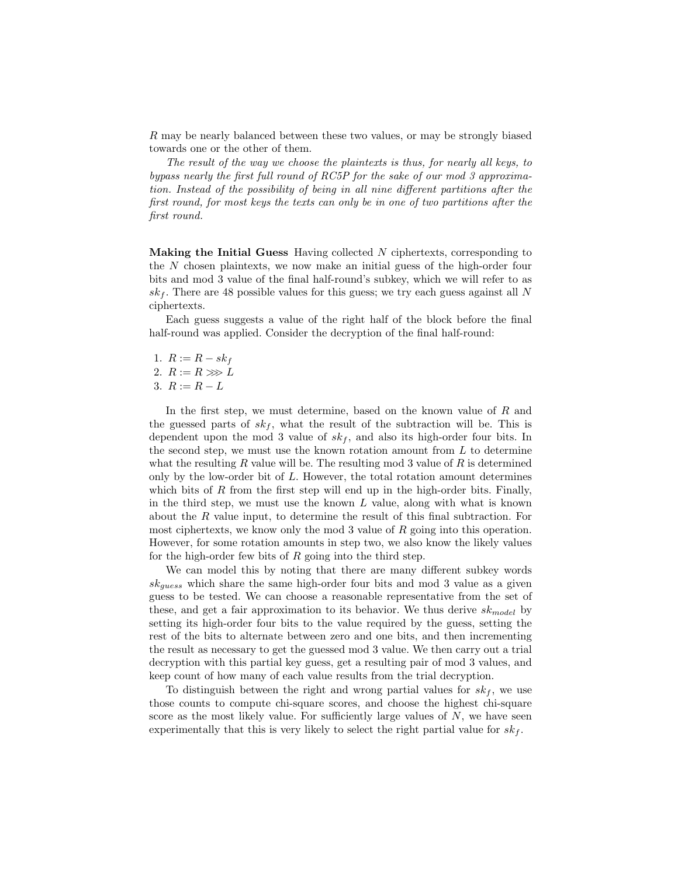R may be nearly balanced between these two values, or may be strongly biased towards one or the other of them.

The result of the way we choose the plaintexts is thus, for nearly all keys, to bypass nearly the first full round of RC5P for the sake of our mod 3 approximation. Instead of the possibility of being in all nine different partitions after the first round, for most keys the texts can only be in one of two partitions after the first round.

**Making the Initial Guess** Having collected  $N$  ciphertexts, corresponding to the N chosen plaintexts, we now make an initial guess of the high-order four bits and mod 3 value of the final half-round's subkey, which we will refer to as  $sk_f$ . There are 48 possible values for this guess; we try each guess against all N ciphertexts.

Each guess suggests a value of the right half of the block before the final half-round was applied. Consider the decryption of the final half-round:

1.  $R := R - sk_f$ 2.  $R := R \gg L$ 

$$
3. \ R := R - L
$$

In the first step, we must determine, based on the known value of R and the guessed parts of  $sk_f$ , what the result of the subtraction will be. This is dependent upon the mod 3 value of  $sk_f$ , and also its high-order four bits. In the second step, we must use the known rotation amount from  $L$  to determine what the resulting R value will be. The resulting mod 3 value of R is determined only by the low-order bit of L. However, the total rotation amount determines which bits of R from the first step will end up in the high-order bits. Finally, in the third step, we must use the known  $L$  value, along with what is known about the R value input, to determine the result of this final subtraction. For most ciphertexts, we know only the mod 3 value of  $R$  going into this operation. However, for some rotation amounts in step two, we also know the likely values for the high-order few bits of  $R$  going into the third step.

We can model this by noting that there are many different subkey words  $sk_{guess}$  which share the same high-order four bits and mod 3 value as a given guess to be tested. We can choose a reasonable representative from the set of these, and get a fair approximation to its behavior. We thus derive  $sk_{model}$  by setting its high-order four bits to the value required by the guess, setting the rest of the bits to alternate between zero and one bits, and then incrementing the result as necessary to get the guessed mod 3 value. We then carry out a trial decryption with this partial key guess, get a resulting pair of mod 3 values, and keep count of how many of each value results from the trial decryption.

To distinguish between the right and wrong partial values for  $sk_f$ , we use those counts to compute chi-square scores, and choose the highest chi-square score as the most likely value. For sufficiently large values of  $N$ , we have seen experimentally that this is very likely to select the right partial value for  $sk_f$ .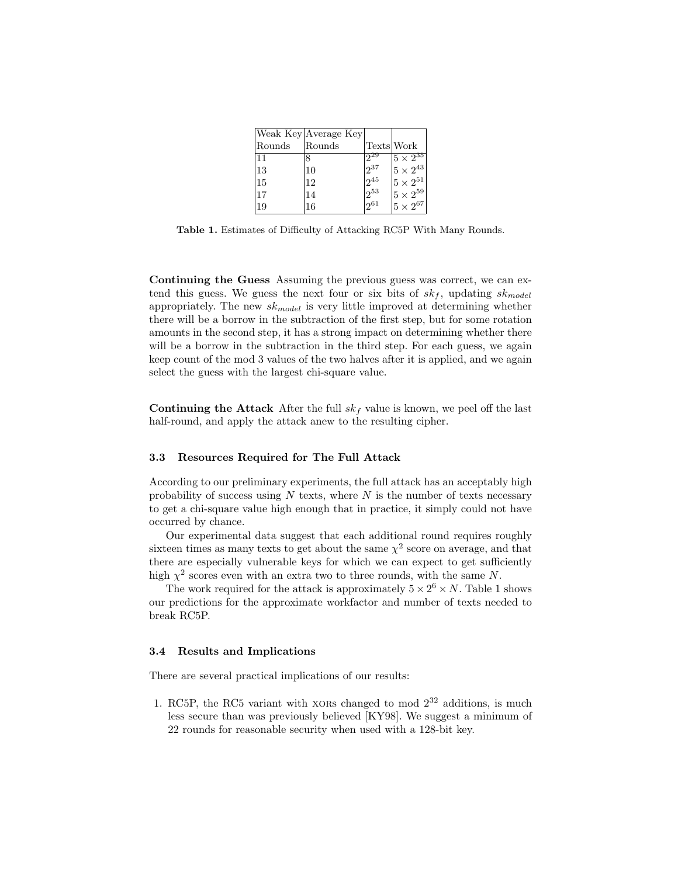|        | Weak Key Average Key |            |                     |
|--------|----------------------|------------|---------------------|
| Rounds | Rounds               | Texts Work |                     |
| 11     | 8                    | $2^{29}$   | $ 5 \times 2^{35} $ |
| 13     | 10                   | $2^{37}$   | $ 5 \times 2^{43} $ |
| 15     | 12                   | $2^{45}$   | $ 5\times 2^{51} $  |
| 17     | 14                   | $12^{53}$  | $ 5 \times 2^{59} $ |
| 19     | 16                   | 1261       | $5\times2^{67}$     |

Table 1. Estimates of Difficulty of Attacking RC5P With Many Rounds.

Continuing the Guess Assuming the previous guess was correct, we can extend this guess. We guess the next four or six bits of  $sk_f$ , updating  $sk_{model}$ appropriately. The new  $sk_{model}$  is very little improved at determining whether there will be a borrow in the subtraction of the first step, but for some rotation amounts in the second step, it has a strong impact on determining whether there will be a borrow in the subtraction in the third step. For each guess, we again keep count of the mod 3 values of the two halves after it is applied, and we again select the guess with the largest chi-square value.

Continuing the Attack After the full  $sk_f$  value is known, we peel off the last half-round, and apply the attack anew to the resulting cipher.

#### 3.3 Resources Required for The Full Attack

According to our preliminary experiments, the full attack has an acceptably high probability of success using  $N$  texts, where  $N$  is the number of texts necessary to get a chi-square value high enough that in practice, it simply could not have occurred by chance.

Our experimental data suggest that each additional round requires roughly sixteen times as many texts to get about the same  $\chi^2$  score on average, and that there are especially vulnerable keys for which we can expect to get sufficiently high  $\chi^2$  scores even with an extra two to three rounds, with the same N.

The work required for the attack is approximately  $5 \times 2^6 \times N$ . Table 1 shows our predictions for the approximate workfactor and number of texts needed to break RC5P.

#### 3.4 Results and Implications

There are several practical implications of our results:

1. RC5P, the RC5 variant with xores changed to mod  $2^{32}$  additions, is much less secure than was previously believed [KY98]. We suggest a minimum of 22 rounds for reasonable security when used with a 128-bit key.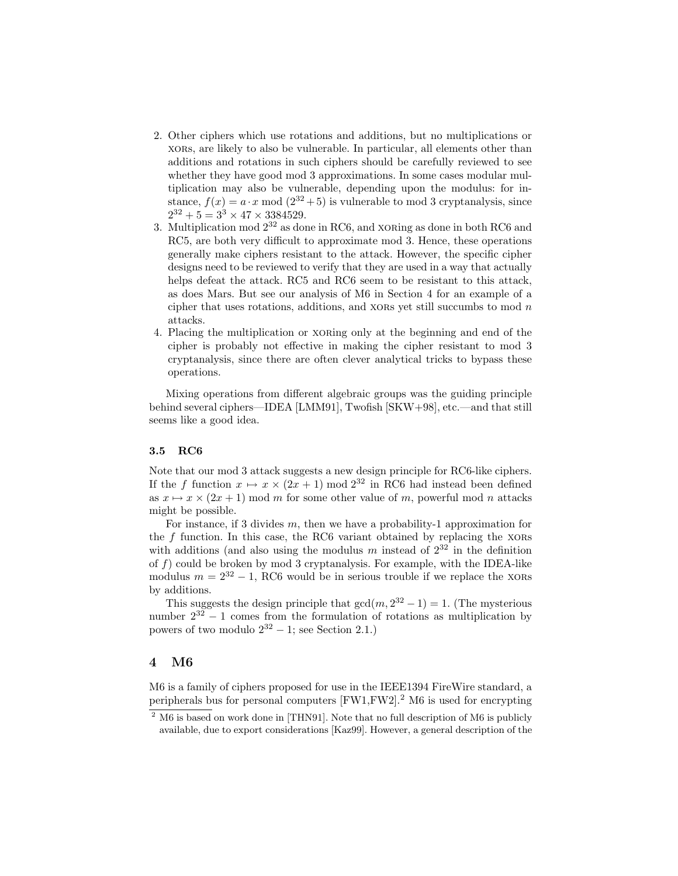- 2. Other ciphers which use rotations and additions, but no multiplications or xors, are likely to also be vulnerable. In particular, all elements other than additions and rotations in such ciphers should be carefully reviewed to see whether they have good mod 3 approximations. In some cases modular multiplication may also be vulnerable, depending upon the modulus: for instance,  $f(x) = a \cdot x \mod (2^{32} + 5)$  is vulnerable to mod 3 cryptanalysis, since  $2^{32} + 5 = 3^3 \times 47 \times 3384529.$
- 3. Multiplication mod  $2^{32}$  as done in RC6, and xorting as done in both RC6 and RC5, are both very difficult to approximate mod 3. Hence, these operations generally make ciphers resistant to the attack. However, the specific cipher designs need to be reviewed to verify that they are used in a way that actually helps defeat the attack. RC5 and RC6 seem to be resistant to this attack, as does Mars. But see our analysis of M6 in Section 4 for an example of a cipher that uses rotations, additions, and xores yet still succumbs to mod  $n$ attacks.
- 4. Placing the multiplication or xoring only at the beginning and end of the cipher is probably not effective in making the cipher resistant to mod 3 cryptanalysis, since there are often clever analytical tricks to bypass these operations.

Mixing operations from different algebraic groups was the guiding principle behind several ciphers—IDEA [LMM91], Twofish [SKW+98], etc.—and that still seems like a good idea.

## 3.5 RC6

Note that our mod 3 attack suggests a new design principle for RC6-like ciphers. If the f function  $x \mapsto x \times (2x + 1)$  mod  $2^{32}$  in RC6 had instead been defined as  $x \mapsto x \times (2x + 1)$  mod m for some other value of m, powerful mod n attacks might be possible.

For instance, if 3 divides  $m$ , then we have a probability-1 approximation for the  $f$  function. In this case, the RC6 variant obtained by replacing the  $XORs$ with additions (and also using the modulus m instead of  $2^{32}$  in the definition of  $f$ ) could be broken by mod 3 cryptanalysis. For example, with the IDEA-like modulus  $m = 2^{32} - 1$ , RC6 would be in serious trouble if we replace the XORs by additions.

This suggests the design principle that  $gcd(m, 2^{32} - 1) = 1$ . (The mysterious number  $2^{32} - 1$  comes from the formulation of rotations as multiplication by powers of two modulo  $2^{32} - 1$ ; see Section 2.1.)

### 4 M6

M6 is a family of ciphers proposed for use in the IEEE1394 FireWire standard, a peripherals bus for personal computers  $[FW1, FW2]$ .<sup>2</sup> M6 is used for encrypting

 $2 \text{ M}6$  is based on work done in [THN91]. Note that no full description of M6 is publicly available, due to export considerations [Kaz99]. However, a general description of the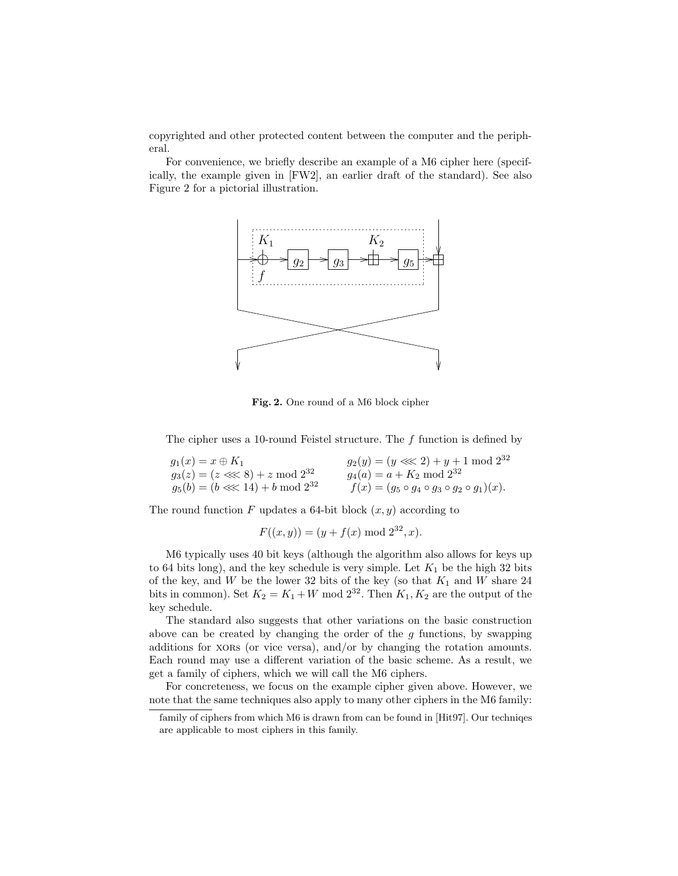copyrighted and other protected content between the computer and the peripheral.

For convenience, we briefly describe an example of a M6 cipher here (specifically, the example given in [FW2], an earlier draft of the standard). See also Figure 2 for a pictorial illustration.

![](_page_10_Figure_2.jpeg)

Fig. 2. One round of a M6 block cipher

The cipher uses a 10-round Feistel structure. The f function is defined by

| $g_1(x) = x \oplus K_1$               | $g_2(y) = (y \ll 2) + y + 1 \mod 2^{32}$                   |
|---------------------------------------|------------------------------------------------------------|
| $g_3(z) = (z \ll 8) + z \mod 2^{32}$  | $g_4(a) = a + K_2 \mod 2^{32}$                             |
| $g_5(b) = (b \ll 14) + b \mod 2^{32}$ | $f(x) = (g_5 \circ g_4 \circ g_3 \circ g_2 \circ g_1)(x).$ |

The round function F updates a 64-bit block  $(x, y)$  according to

$$
F((x, y)) = (y + f(x) \bmod 2^{32}, x).
$$

M6 typically uses 40 bit keys (although the algorithm also allows for keys up to 64 bits long), and the key schedule is very simple. Let  $K_1$  be the high 32 bits of the key, and  $W$  be the lower 32 bits of the key (so that  $K_1$  and  $W$  share 24 bits in common). Set  $K_2 = K_1 + W \mod 2^{32}$ . Then  $K_1, K_2$  are the output of the key schedule.

The standard also suggests that other variations on the basic construction above can be created by changing the order of the  $g$  functions, by swapping additions for xores (or vice versa), and/or by changing the rotation amounts. Each round may use a different variation of the basic scheme. As a result, we get a family of ciphers, which we will call the M6 ciphers.

For concreteness, we focus on the example cipher given above. However, we note that the same techniques also apply to many other ciphers in the M6 family:

family of ciphers from which M6 is drawn from can be found in [Hit97]. Our techniqes are applicable to most ciphers in this family.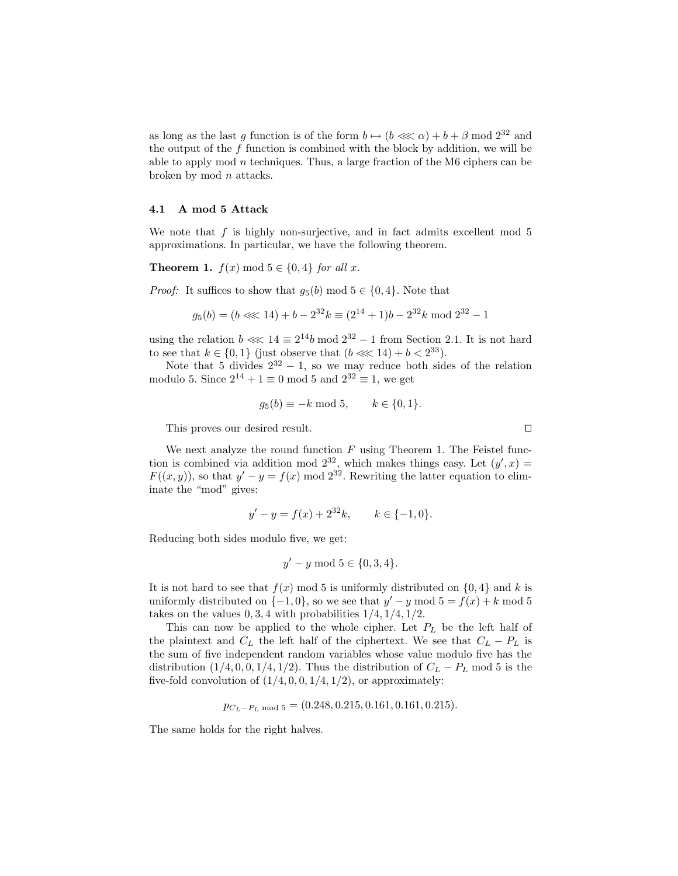as long as the last g function is of the form  $b \mapsto (b \lll \alpha) + b + \beta \mod 2^{32}$  and the output of the f function is combined with the block by addition, we will be able to apply mod  $n$  techniques. Thus, a large fraction of the M6 ciphers can be broken by mod  $n$  attacks.

#### 4.1 A mod 5 Attack

We note that  $f$  is highly non-surjective, and in fact admits excellent mod  $5$ approximations. In particular, we have the following theorem.

**Theorem 1.**  $f(x) \mod 5 \in \{0, 4\}$  for all x.

*Proof:* It suffices to show that  $q_5(b) \mod 5 \in \{0, 4\}$ . Note that

$$
g_5(b) = (b \ll 14) + b - 2^{32}k \equiv (2^{14} + 1)b - 2^{32}k \mod 2^{32} - 1
$$

using the relation  $b \ll 14 \equiv 2^{14}b \mod 2^{32} - 1$  from Section 2.1. It is not hard to see that  $k \in \{0, 1\}$  (just observe that  $(b \lll 14) + b < 2^{33}$ ).

Note that 5 divides  $2^{32} - 1$ , so we may reduce both sides of the relation modulo 5. Since  $2^{14} + 1 \equiv 0 \mod 5$  and  $2^{32} \equiv 1$ , we get

$$
g_5(b) \equiv -k \mod 5, \qquad k \in \{0, 1\}.
$$

This proves our desired result.  $\Box$ 

We next analyze the round function  $F$  using Theorem 1. The Feistel function is combined via addition mod  $2^{32}$ , which makes things easy. Let  $(y', x) =$  $F((x, y))$ , so that  $y' - y = f(x) \mod 2^{32}$ . Rewriting the latter equation to eliminate the "mod" gives:

$$
y'-y = f(x) + 2^{32}k
$$
,  $k \in \{-1, 0\}$ .

Reducing both sides modulo five, we get:

$$
y' - y \bmod 5 \in \{0, 3, 4\}.
$$

It is not hard to see that  $f(x) \mod 5$  is uniformly distributed on  $\{0, 4\}$  and k is uniformly distributed on  $\{-1, 0\}$ , so we see that  $y' - y \mod 5 = f(x) + k \mod 5$ takes on the values  $0, 3, 4$  with probabilities  $1/4, 1/4, 1/2$ .

This can now be applied to the whole cipher. Let  $P_L$  be the left half of the plaintext and  $C_L$  the left half of the ciphertext. We see that  $C_L - P_L$  is the sum of five independent random variables whose value modulo five has the distribution  $(1/4, 0, 0, 1/4, 1/2)$ . Thus the distribution of  $C_L - P_L$  mod 5 is the five-fold convolution of  $(1/4, 0, 0, 1/4, 1/2)$ , or approximately:

$$
p_{C_L-P_L \text{ mod } 5} = (0.248, 0.215, 0.161, 0.161, 0.215).
$$

The same holds for the right halves.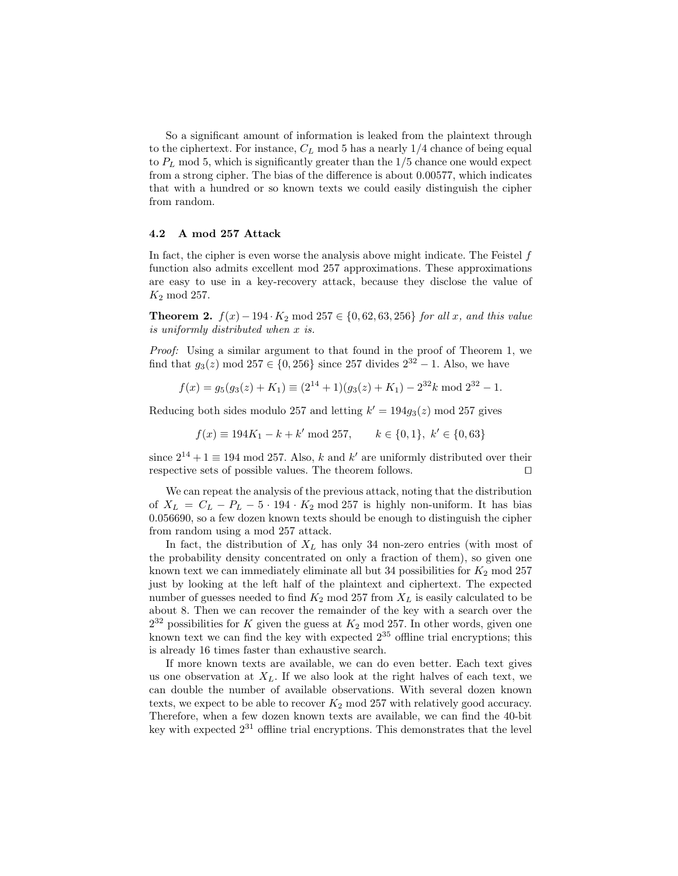So a significant amount of information is leaked from the plaintext through to the ciphertext. For instance,  $C_L$  mod 5 has a nearly  $1/4$  chance of being equal to  $P_L$  mod 5, which is significantly greater than the  $1/5$  chance one would expect from a strong cipher. The bias of the difference is about 0.00577, which indicates that with a hundred or so known texts we could easily distinguish the cipher from random.

#### 4.2 A mod 257 Attack

In fact, the cipher is even worse the analysis above might indicate. The Feistel  $f$ function also admits excellent mod 257 approximations. These approximations are easy to use in a key-recovery attack, because they disclose the value of  $K_2$  mod 257.

**Theorem 2.**  $f(x) - 194 \cdot K_2$  mod 257 ∈ {0, 62, 63, 256} for all x, and this value is uniformly distributed when x is.

Proof: Using a similar argument to that found in the proof of Theorem 1, we find that  $g_3(z)$  mod 257 ∈ {0, 256} since 257 divides  $2^{32} - 1$ . Also, we have

$$
f(x) = g_5(g_3(z) + K_1) \equiv (2^{14} + 1)(g_3(z) + K_1) - 2^{32}k \mod 2^{32} - 1.
$$

Reducing both sides modulo 257 and letting  $k' = 194g_3(z) \mod 257$  gives

$$
f(x) \equiv 194K_1 - k + k' \mod 257, \qquad k \in \{0, 1\}, \ k' \in \{0, 63\}
$$

since  $2^{14} + 1 \equiv 194 \mod 257$ . Also, k and k' are uniformly distributed over their respective sets of possible values. The theorem follows.  $\Box$ 

We can repeat the analysis of the previous attack, noting that the distribution of  $X_L = C_L - P_L - 5 \cdot 194 \cdot K_2$  mod 257 is highly non-uniform. It has bias 0.056690, so a few dozen known texts should be enough to distinguish the cipher from random using a mod 257 attack.

In fact, the distribution of  $X_L$  has only 34 non-zero entries (with most of the probability density concentrated on only a fraction of them), so given one known text we can immediately eliminate all but 34 possibilities for  $K_2$  mod 257 just by looking at the left half of the plaintext and ciphertext. The expected number of guesses needed to find  $K_2$  mod 257 from  $X_L$  is easily calculated to be about 8. Then we can recover the remainder of the key with a search over the  $2^{32}$  possibilities for K given the guess at  $K_2$  mod 257. In other words, given one known text we can find the key with expected  $2^{35}$  offline trial encryptions; this is already 16 times faster than exhaustive search.

If more known texts are available, we can do even better. Each text gives us one observation at  $X_L$ . If we also look at the right halves of each text, we can double the number of available observations. With several dozen known texts, we expect to be able to recover  $K_2$  mod 257 with relatively good accuracy. Therefore, when a few dozen known texts are available, we can find the 40-bit key with expected  $2^{31}$  offline trial encryptions. This demonstrates that the level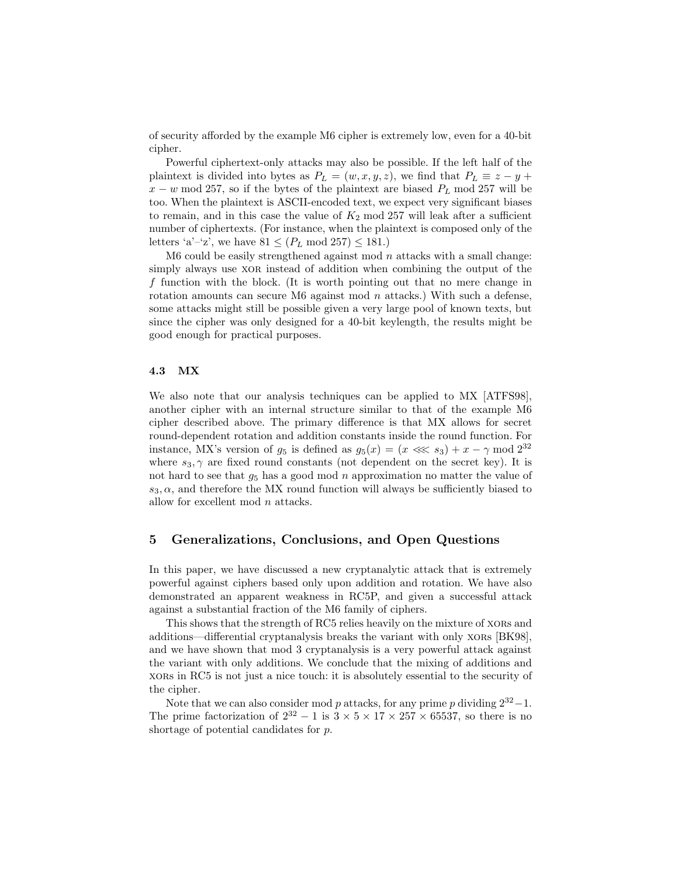of security afforded by the example M6 cipher is extremely low, even for a 40-bit cipher.

Powerful ciphertext-only attacks may also be possible. If the left half of the plaintext is divided into bytes as  $P_L = (w, x, y, z)$ , we find that  $P_L \equiv z - y + z$  $x - w \mod 257$ , so if the bytes of the plaintext are biased  $P_L \mod 257$  will be too. When the plaintext is ASCII-encoded text, we expect very significant biases to remain, and in this case the value of  $K_2$  mod 257 will leak after a sufficient number of ciphertexts. (For instance, when the plaintext is composed only of the letters 'a'–'z', we have  $81 \leq (P_L \mod 257) \leq 181$ .

M6 could be easily strengthened against mod  $n$  attacks with a small change: simply always use xor instead of addition when combining the output of the f function with the block. (It is worth pointing out that no mere change in rotation amounts can secure M6 against mod  $n$  attacks.) With such a defense, some attacks might still be possible given a very large pool of known texts, but since the cipher was only designed for a 40-bit keylength, the results might be good enough for practical purposes.

#### 4.3 MX

We also note that our analysis techniques can be applied to MX [ATFS98], another cipher with an internal structure similar to that of the example M6 cipher described above. The primary difference is that MX allows for secret round-dependent rotation and addition constants inside the round function. For instance, MX's version of  $g_5$  is defined as  $g_5(x) = (x \ll s_3) + x - \gamma \mod 2^{32}$ where  $s_3, \gamma$  are fixed round constants (not dependent on the secret key). It is not hard to see that  $g_5$  has a good mod n approximation no matter the value of  $s_3, \alpha$ , and therefore the MX round function will always be sufficiently biased to allow for excellent mod n attacks.

## 5 Generalizations, Conclusions, and Open Questions

In this paper, we have discussed a new cryptanalytic attack that is extremely powerful against ciphers based only upon addition and rotation. We have also demonstrated an apparent weakness in RC5P, and given a successful attack against a substantial fraction of the M6 family of ciphers.

This shows that the strength of RC5 relies heavily on the mixture of xors and additions—differential cryptanalysis breaks the variant with only xors [BK98], and we have shown that mod 3 cryptanalysis is a very powerful attack against the variant with only additions. We conclude that the mixing of additions and xors in RC5 is not just a nice touch: it is absolutely essential to the security of the cipher.

Note that we can also consider mod p attacks, for any prime p dividing  $2^{32}-1$ . The prime factorization of  $2^{32} - 1$  is  $3 \times 5 \times 17 \times 257 \times 65537$ , so there is no shortage of potential candidates for p.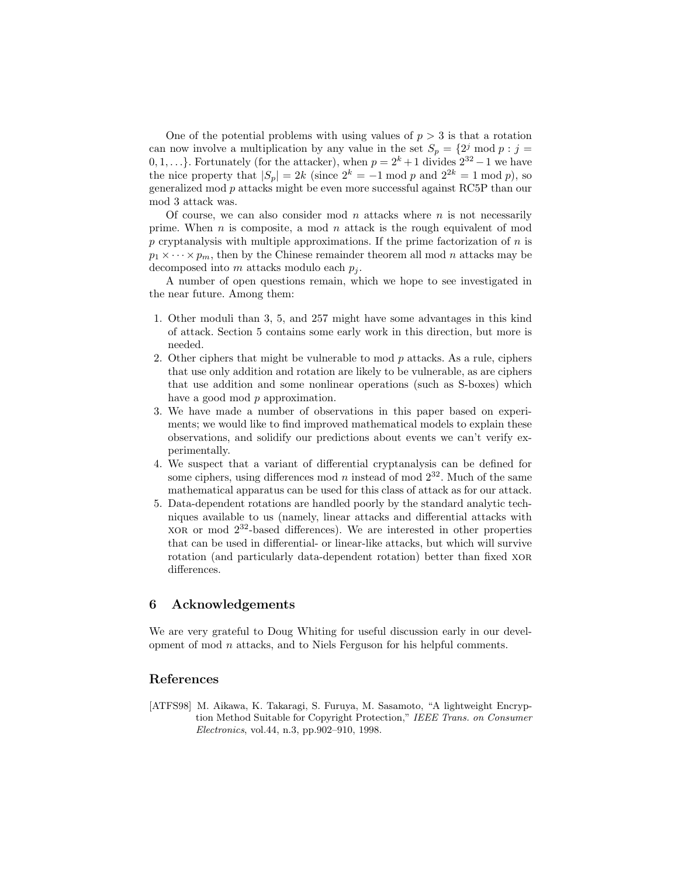One of the potential problems with using values of  $p > 3$  is that a rotation can now involve a multiplication by any value in the set  $S_p = \{2^j \text{ mod } p : j =$ 0, 1, ...}. Fortunately (for the attacker), when  $p = 2<sup>k</sup> + 1$  divides  $2<sup>32</sup> - 1$  we have the nice property that  $|S_p| = 2k$  (since  $2^k = -1 \mod p$  and  $2^{2k} = 1 \mod p$ ), so generalized mod p attacks might be even more successful against RC5P than our mod 3 attack was.

Of course, we can also consider mod n attacks where  $n$  is not necessarily prime. When n is composite, a mod n attack is the rough equivalent of mod p cryptanalysis with multiple approximations. If the prime factorization of  $n$  is  $p_1 \times \cdots \times p_m$ , then by the Chinese remainder theorem all mod n attacks may be decomposed into m attacks modulo each  $p_i$ .

A number of open questions remain, which we hope to see investigated in the near future. Among them:

- 1. Other moduli than 3, 5, and 257 might have some advantages in this kind of attack. Section 5 contains some early work in this direction, but more is needed.
- 2. Other ciphers that might be vulnerable to mod p attacks. As a rule, ciphers that use only addition and rotation are likely to be vulnerable, as are ciphers that use addition and some nonlinear operations (such as S-boxes) which have a good mod  $p$  approximation.
- 3. We have made a number of observations in this paper based on experiments; we would like to find improved mathematical models to explain these observations, and solidify our predictions about events we can't verify experimentally.
- 4. We suspect that a variant of differential cryptanalysis can be defined for some ciphers, using differences mod n instead of mod  $2^{32}$ . Much of the same mathematical apparatus can be used for this class of attack as for our attack.
- 5. Data-dependent rotations are handled poorly by the standard analytic techniques available to us (namely, linear attacks and differential attacks with  $XOR$  or mod  $2^{32}$ -based differences). We are interested in other properties that can be used in differential- or linear-like attacks, but which will survive rotation (and particularly data-dependent rotation) better than fixed xor differences.

## 6 Acknowledgements

We are very grateful to Doug Whiting for useful discussion early in our development of mod n attacks, and to Niels Ferguson for his helpful comments.

### References

[ATFS98] M. Aikawa, K. Takaragi, S. Furuya, M. Sasamoto, "A lightweight Encryption Method Suitable for Copyright Protection," IEEE Trans. on Consumer Electronics, vol.44, n.3, pp.902–910, 1998.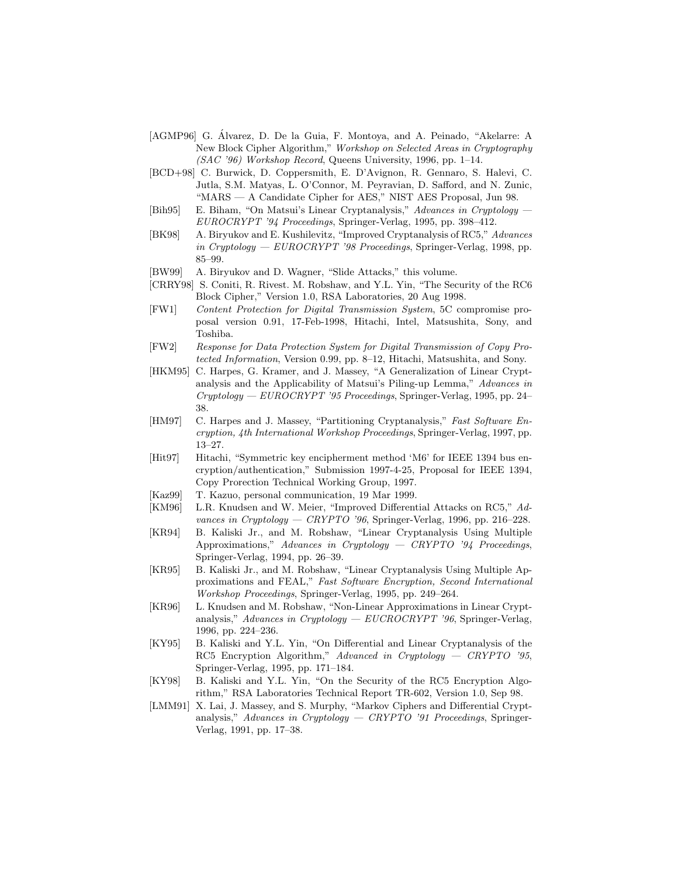- [AGMP96] G. Alvarez, D. De la Guia, F. Montoya, and A. Peinado, "Akelarre: A ´ New Block Cipher Algorithm," Workshop on Selected Areas in Cryptography  $(SAC'36)$  Workshop Record, Queens University, 1996, pp. 1–14.
- [BCD+98] C. Burwick, D. Coppersmith, E. D'Avignon, R. Gennaro, S. Halevi, C. Jutla, S.M. Matyas, L. O'Connor, M. Peyravian, D. Safford, and N. Zunic, "MARS — A Candidate Cipher for AES," NIST AES Proposal, Jun 98.
- [Bih95] E. Biham, "On Matsui's Linear Cryptanalysis," Advances in Cryptology EUROCRYPT '94 Proceedings, Springer-Verlag, 1995, pp. 398–412.
- [BK98] A. Biryukov and E. Kushilevitz, "Improved Cryptanalysis of RC5," Advances in Cryptology — EUROCRYPT '98 Proceedings, Springer-Verlag, 1998, pp. 85–99.
- [BW99] A. Biryukov and D. Wagner, "Slide Attacks," this volume.
- [CRRY98] S. Coniti, R. Rivest. M. Robshaw, and Y.L. Yin, "The Security of the RC6 Block Cipher," Version 1.0, RSA Laboratories, 20 Aug 1998.
- [FW1] Content Protection for Digital Transmission System, 5C compromise proposal version 0.91, 17-Feb-1998, Hitachi, Intel, Matsushita, Sony, and Toshiba.
- [FW2] Response for Data Protection System for Digital Transmission of Copy Protected Information, Version 0.99, pp. 8–12, Hitachi, Matsushita, and Sony.
- [HKM95] C. Harpes, G. Kramer, and J. Massey, "A Generalization of Linear Cryptanalysis and the Applicability of Matsui's Piling-up Lemma," Advances in Cryptology — EUROCRYPT '95 Proceedings, Springer-Verlag, 1995, pp. 24– 38.
- [HM97] C. Harpes and J. Massey, "Partitioning Cryptanalysis," Fast Software Encryption, 4th International Workshop Proceedings, Springer-Verlag, 1997, pp. 13–27.
- [Hit97] Hitachi, "Symmetric key encipherment method 'M6' for IEEE 1394 bus encryption/authentication," Submission 1997-4-25, Proposal for IEEE 1394, Copy Prorection Technical Working Group, 1997.
- [Kaz99] T. Kazuo, personal communication, 19 Mar 1999.
- [KM96] L.R. Knudsen and W. Meier, "Improved Differential Attacks on RC5," Advances in Cryptology — CRYPTO '96, Springer-Verlag, 1996, pp. 216–228.
- [KR94] B. Kaliski Jr., and M. Robshaw, "Linear Cryptanalysis Using Multiple Approximations," Advances in Cryptology — CRYPTO '94 Proceedings, Springer-Verlag, 1994, pp. 26–39.
- [KR95] B. Kaliski Jr., and M. Robshaw, "Linear Cryptanalysis Using Multiple Approximations and FEAL," Fast Software Encryption, Second International Workshop Proceedings, Springer-Verlag, 1995, pp. 249–264.
- [KR96] L. Knudsen and M. Robshaw, "Non-Linear Approximations in Linear Cryptanalysis," Advances in Cryptology —  $EUCROCRYPT$  '96, Springer-Verlag, 1996, pp. 224–236.
- [KY95] B. Kaliski and Y.L. Yin, "On Differential and Linear Cryptanalysis of the RC5 Encryption Algorithm," Advanced in Cryptology - CRYPTO '95, Springer-Verlag, 1995, pp. 171–184.
- [KY98] B. Kaliski and Y.L. Yin, "On the Security of the RC5 Encryption Algorithm," RSA Laboratories Technical Report TR-602, Version 1.0, Sep 98.
- [LMM91] X. Lai, J. Massey, and S. Murphy, "Markov Ciphers and Differential Cryptanalysis," Advances in Cryptology  $-$  CRYPTO '91 Proceedings, Springer-Verlag, 1991, pp. 17–38.